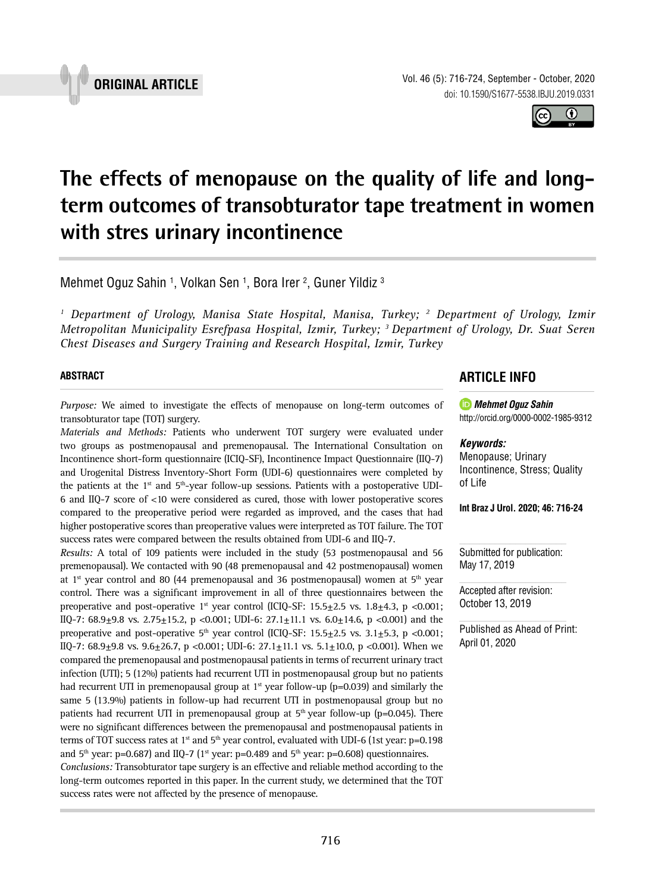

Vol. 46 (5): 716-724, September - October, 2020 doi: 10.1590/S1677-5538.IBJU.2019.0331

 $\bf \omega$ (cc)

# **The effects of menopause on the quality of life and longterm outcomes of transobturator tape treatment in women with stres urinary incontinence \_\_\_\_\_\_\_\_\_\_\_\_\_\_\_\_\_\_\_\_\_\_\_\_\_\_\_\_\_\_\_\_\_\_\_\_\_\_\_\_\_\_\_\_\_\_\_**

Mehmet Oguz Sahin <sup>1</sup>, Volkan Sen <sup>1</sup>, Bora Irer <sup>2</sup>, Guner Yildiz <sup>3</sup>

<sup>1</sup> Department of Urology, Manisa State Hospital, Manisa, Turkey; <sup>2</sup> Department of Urology, Izmir *Metropolitan Municipality Esrefpasa Hospital, Izmir, Turkey; 3 Department of Urology, Dr. Suat Seren Chest Diseases and Surgery Training and Research Hospital, Izmir, Turkey*

#### **ABSTRACT**

*Purpose:* We aimed to investigate the effects of menopause on long-term outcomes of transobturator tape (TOT) surgery.

*Materials and Methods:* Patients who underwent TOT surgery were evaluated under two groups as postmenopausal and premenopausal. The International Consultation on Incontinence short-form questionnaire (ICIQ-SF), Incontinence Impact Questionnaire (IIQ-7) and Urogenital Distress Inventory-Short Form (UDI-6) questionnaires were completed by the patients at the 1<sup>st</sup> and 5<sup>th</sup>-year follow-up sessions. Patients with a postoperative UDI-6 and IIQ-7 score of <10 were considered as cured, those with lower postoperative scores compared to the preoperative period were regarded as improved, and the cases that had higher postoperative scores than preoperative values were interpreted as TOT failure. The TOT success rates were compared between the results obtained from UDI-6 and IIQ-7.

*Results:* A total of 109 patients were included in the study (53 postmenopausal and 56 premenopausal). We contacted with 90 (48 premenopausal and 42 postmenopausal) women at  $1<sup>st</sup>$  year control and 80 (44 premenopausal and 36 postmenopausal) women at  $5<sup>th</sup>$  year control. There was a significant improvement in all of three questionnaires between the preoperative and post-operative  $1<sup>st</sup>$  year control (ICIQ-SF: 15.5 $\pm$ 2.5 vs. 1.8 $\pm$ 4.3, p <0.001; IIQ-7:  $68.9\pm9.8$  vs.  $2.75\pm15.2$ , p <0.001; UDI-6:  $27.1\pm11.1$  vs.  $6.0\pm14.6$ , p <0.001) and the preoperative and post-operative  $5<sup>th</sup>$  year control (ICIQ-SF: 15.5 $\pm$ 2.5 vs. 3.1 $\pm$ 5.3, p <0.001; IIQ-7:  $68.9\pm9.8$  vs.  $9.6\pm26.7$ , p <0.001; UDI-6:  $27.1\pm11.1$  vs.  $5.1\pm10.0$ , p <0.001). When we compared the premenopausal and postmenopausal patients in terms of recurrent urinary tract infection (UTI); 5 (12%) patients had recurrent UTI in postmenopausal group but no patients had recurrent UTI in premenopausal group at  $1<sup>st</sup>$  year follow-up (p=0.039) and similarly the same 5 (13.9%) patients in follow-up had recurrent UTI in postmenopausal group but no patients had recurrent UTI in premenopausal group at  $5<sup>th</sup>$  year follow-up (p=0.045). There were no significant differences between the premenopausal and postmenopausal patients in terms of TOT success rates at  $1<sup>st</sup>$  and  $5<sup>th</sup>$  year control, evaluated with UDI-6 (1st year: p=0.198 and  $5<sup>th</sup>$  year: p=0.687) and IIQ-7 (1<sup>st</sup> year: p=0.489 and  $5<sup>th</sup>$  year: p=0.608) questionnaires. *Conclusions:* Transobturator tape surgery is an effective and reliable method according to the long-term outcomes reported in this paper. In the current study, we determined that the TOT success rates were not affected by the presence of menopause.

# **ARTICLE INFO**

*Mehmet Oguz Sahin* http://orcid.org/[0000-0002-1985-9312](https://orcid.org/0000-0002-1985-9312)

#### *Keywords:*

Menopause; Urinary Incontinence, Stress; Quality of Life

**Int Braz J Urol. 2020; 46: 716-24**

Submitted for publication: May 17, 2019

Accepted after revision: October 13, 2019

Published as Ahead of Print: April 01, 2020



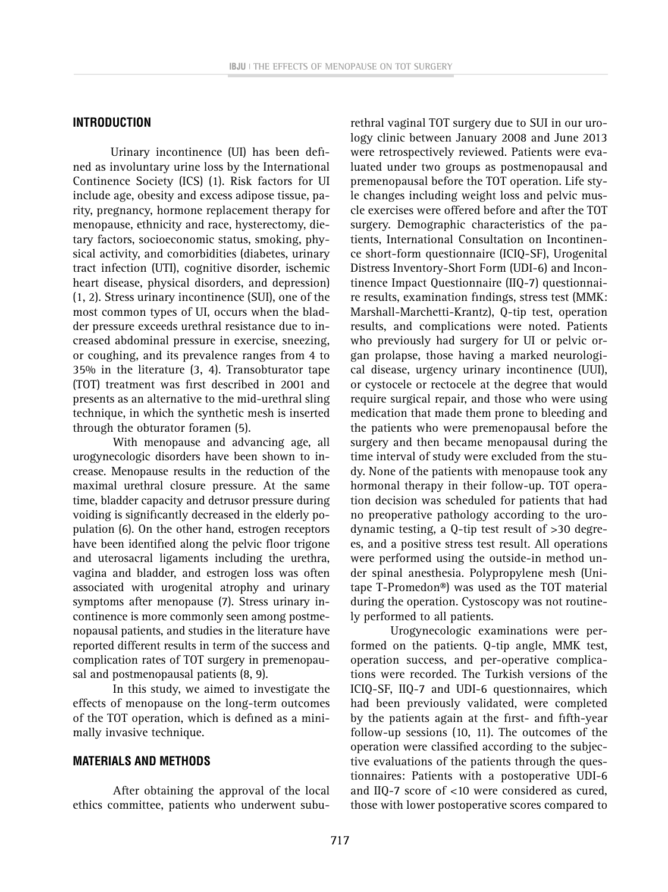#### **INTRODUCTION**

Urinary incontinence (UI) has been defined as involuntary urine loss by the International Continence Society (ICS) (1). Risk factors for UI include age, obesity and excess adipose tissue, parity, pregnancy, hormone replacement therapy for menopause, ethnicity and race, hysterectomy, dietary factors, socioeconomic status, smoking, physical activity, and comorbidities (diabetes, urinary tract infection (UTI), cognitive disorder, ischemic heart disease, physical disorders, and depression) (1, 2). Stress urinary incontinence (SUI), one of the most common types of UI, occurs when the bladder pressure exceeds urethral resistance due to increased abdominal pressure in exercise, sneezing, or coughing, and its prevalence ranges from 4 to 35% in the literature (3, 4). Transobturator tape (TOT) treatment was first described in 2001 and presents as an alternative to the mid-urethral sling technique, in which the synthetic mesh is inserted through the obturator foramen (5).

With menopause and advancing age, all urogynecologic disorders have been shown to increase. Menopause results in the reduction of the maximal urethral closure pressure. At the same time, bladder capacity and detrusor pressure during voiding is significantly decreased in the elderly population (6). On the other hand, estrogen receptors have been identified along the pelvic floor trigone and uterosacral ligaments including the urethra, vagina and bladder, and estrogen loss was often associated with urogenital atrophy and urinary symptoms after menopause (7). Stress urinary incontinence is more commonly seen among postmenopausal patients, and studies in the literature have reported different results in term of the success and complication rates of TOT surgery in premenopausal and postmenopausal patients (8, 9).

In this study, we aimed to investigate the effects of menopause on the long-term outcomes of the TOT operation, which is defined as a minimally invasive technique.

#### **MATERIALS AND METHODS**

After obtaining the approval of the local ethics committee, patients who underwent suburethral vaginal TOT surgery due to SUI in our urology clinic between January 2008 and June 2013 were retrospectively reviewed. Patients were evaluated under two groups as postmenopausal and premenopausal before the TOT operation. Life style changes including weight loss and pelvic muscle exercises were offered before and after the TOT surgery. Demographic characteristics of the patients, International Consultation on Incontinence short-form questionnaire (ICIQ-SF), Urogenital Distress Inventory-Short Form (UDI-6) and Incontinence Impact Questionnaire (IIQ-7) questionnaire results, examination findings, stress test (MMK: Marshall-Marchetti-Krantz), Q-tip test, operation results, and complications were noted. Patients who previously had surgery for UI or pelvic organ prolapse, those having a marked neurological disease, urgency urinary incontinence (UUI), or cystocele or rectocele at the degree that would require surgical repair, and those who were using medication that made them prone to bleeding and the patients who were premenopausal before the surgery and then became menopausal during the time interval of study were excluded from the study. None of the patients with menopause took any hormonal therapy in their follow-up. TOT operation decision was scheduled for patients that had no preoperative pathology according to the urodynamic testing, a Q-tip test result of >30 degrees, and a positive stress test result. All operations were performed using the outside-in method under spinal anesthesia. Polypropylene mesh (Unitape T-Promedon®) was used as the TOT material during the operation. Cystoscopy was not routinely performed to all patients.

Urogynecologic examinations were performed on the patients. Q-tip angle, MMK test, operation success, and per-operative complications were recorded. The Turkish versions of the ICIQ-SF, IIQ-7 and UDI-6 questionnaires, which had been previously validated, were completed by the patients again at the first- and fifth-year follow-up sessions (10, 11). The outcomes of the operation were classified according to the subjective evaluations of the patients through the questionnaires: Patients with a postoperative UDI-6 and IIQ-7 score of <10 were considered as cured, those with lower postoperative scores compared to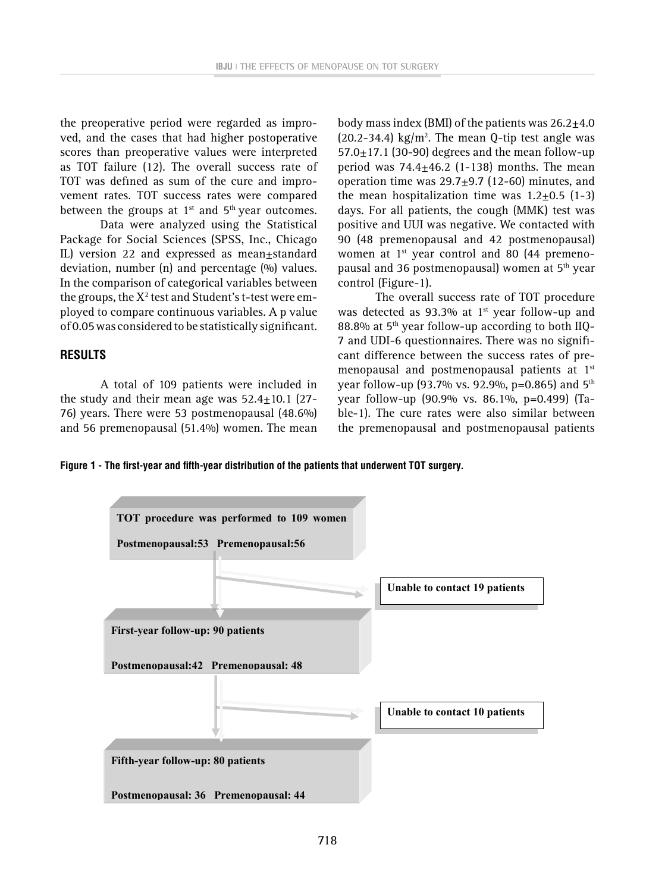the preoperative period were regarded as improved, and the cases that had higher postoperative scores than preoperative values were interpreted as TOT failure (12). The overall success rate of TOT was defined as sum of the cure and improvement rates. TOT success rates were compared between the groups at  $1<sup>st</sup>$  and  $5<sup>th</sup>$  year outcomes.

Data were analyzed using the Statistical Package for Social Sciences (SPSS, Inc., Chicago IL) version 22 and expressed as mean±standard deviation, number (n) and percentage (%) values. In the comparison of categorical variables between the groups, the  $\mathrm{X}^{\scriptscriptstyle{2}}$  test and Student's t-test were employed to compare continuous variables. A p value of 0.05 was considered to be statistically significant.

#### **RESULTS**

A total of 109 patients were included in the study and their mean age was  $52.4 \pm 10.1$  (27-76) years. There were 53 postmenopausal (48.6%) and 56 premenopausal (51.4%) women. The mean body mass index (BMI) of the patients was  $26.2+4.0$  $(20.2 - 34.4)$  kg/m<sup>2</sup>. The mean Q-tip test angle was  $57.0 \pm 17.1$  (30-90) degrees and the mean follow-up period was  $74.4 \pm 46.2$  (1-138) months. The mean operation time was 29.7±9.7 (12-60) minutes, and the mean hospitalization time was  $1.2+0.5$  (1-3) days. For all patients, the cough (MMK) test was positive and UUI was negative. We contacted with 90 (48 premenopausal and 42 postmenopausal) women at 1<sup>st</sup> year control and 80 (44 premenopausal and 36 postmenopausal) women at 5<sup>th</sup> year control (Figure-1).

The overall success rate of TOT procedure was detected as 93.3% at  $1<sup>st</sup>$  year follow-up and 88.8% at  $5<sup>th</sup>$  year follow-up according to both IIQ-7 and UDI-6 questionnaires. There was no significant difference between the success rates of premenopausal and postmenopausal patients at 1st year follow-up (93.7% vs. 92.9%, p=0.865) and  $5^{th}$ year follow-up (90.9% vs. 86.1%, p=0.499) (Table-1). The cure rates were also similar between the premenopausal and postmenopausal patients

Figure 1 - The first-year and fifth-year distribution of the patients that underwent TOT surgery.

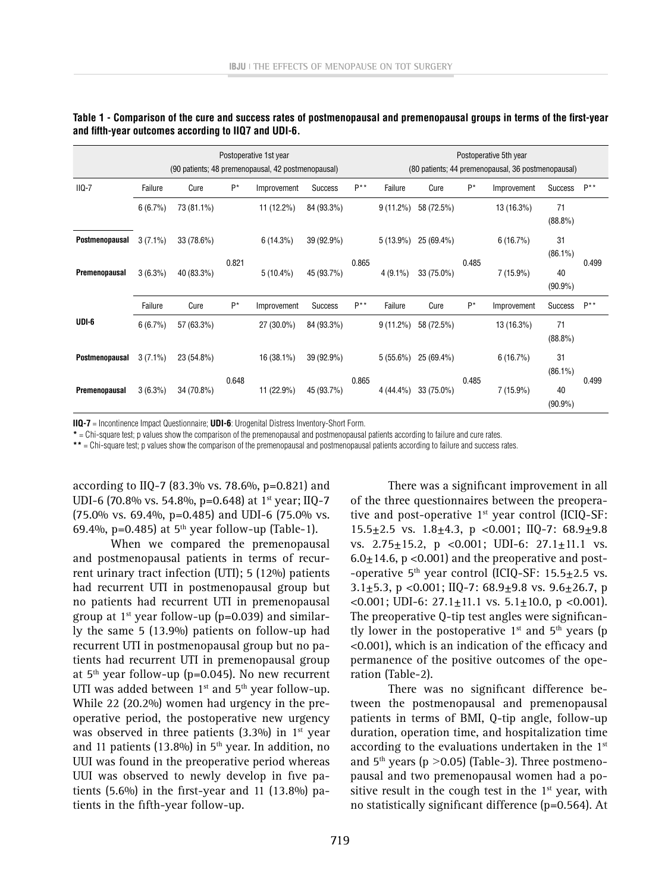|                | Postoperative 1st year<br>(90 patients; 48 premenopausal, 42 postmenopausal) |            |       |             |                | Postoperative 5th year<br>(80 patients; 44 premenopausal, 36 postmenopausal) |             |            |       |                    |                  |                  |
|----------------|------------------------------------------------------------------------------|------------|-------|-------------|----------------|------------------------------------------------------------------------------|-------------|------------|-------|--------------------|------------------|------------------|
| $IIQ-7$        | Failure                                                                      | Cure       | $P^*$ | Improvement | <b>Success</b> | $P^{\star\star}$                                                             | Failure     | Cure       | $P^*$ | Improvement        | <b>Success</b>   | $P^{\star\star}$ |
|                | $6(6.7\%)$                                                                   | 73 (81.1%) |       | 11 (12.2%)  | 84 (93.3%)     |                                                                              | $9(11.2\%)$ | 58 (72.5%) |       | 13 (16.3%)         | 71<br>$(88.8\%)$ |                  |
| Postmenopausal | $3(7.1\%)$                                                                   | 33 (78.6%) |       | 6(14.3%)    | 39 (92.9%)     |                                                                              | $5(13.9\%)$ | 25 (69.4%) |       | 6(16.7%)           | 31<br>$(86.1\%)$ |                  |
| Premenopausal  | $3(6.3\%)$                                                                   | 40 (83.3%) | 0.821 | $5(10.4\%)$ | 45 (93.7%)     | 0.865                                                                        | $4(9.1\%)$  | 33 (75.0%) | 0.485 | $7(15.9\%)$        | 40<br>$(90.9\%)$ | 0.499            |
|                | Failure                                                                      | Cure       | $P^*$ | Improvement | Success        | $P^{\star\star}$                                                             | Failure     | Cure       | $P^*$ | Improvement        | Success          | $P^*$            |
| UDI-6          | $6(6.7\%)$                                                                   | 57 (63.3%) |       | 27 (30.0%)  | 84 (93.3%)     |                                                                              | $9(11.2\%)$ | 58 (72.5%) |       | 13 (16.3%)         | 71<br>$(88.8\%)$ |                  |
| Postmenopausal | $3(7.1\%)$                                                                   | 23 (54.8%) |       | 16 (38.1%)  | 39 (92.9%)     | 0.865                                                                        | $5(55.6\%)$ | 25 (69.4%) |       | 6(16.7%)           | 31<br>$(86.1\%)$ | 0.499            |
| Premenopausal  | $3(6.3\%)$                                                                   | 34 (70.8%) | 0.648 | 11 (22.9%)  | 45 (93.7%)     |                                                                              | 4 (44.4%)   | 33 (75.0%) |       | 0.485<br>7 (15.9%) | 40<br>$(90.9\%)$ |                  |

| Table 1 - Comparison of the cure and success rates of postmenopausal and premenopausal groups in terms of the first-year |  |  |
|--------------------------------------------------------------------------------------------------------------------------|--|--|
| and fifth-year outcomes according to IIQ7 and UDI-6.                                                                     |  |  |

**IIQ-7** = Incontinence Impact Questionnaire; **UDI-6**: Urogenital Distress Inventory-Short Form.

**\*** = Chi-square test; p values show the comparison of the premenopausal and postmenopausal patients according to failure and cure rates.

**\*\*** = Chi-square test; p values show the comparison of the premenopausal and postmenopausal patients according to failure and success rates.

according to IIQ-7 (83.3% vs. 78.6%, p=0.821) and UDI-6 (70.8% vs. 54.8%, p=0.648) at 1<sup>st</sup> year; IIQ-7 (75.0% vs. 69.4%, p=0.485) and UDI-6 (75.0% vs. 69.4%, p=0.485) at  $5<sup>th</sup>$  year follow-up (Table-1).

When we compared the premenopausal and postmenopausal patients in terms of recurrent urinary tract infection (UTI); 5 (12%) patients had recurrent UTI in postmenopausal group but no patients had recurrent UTI in premenopausal group at  $1<sup>st</sup>$  year follow-up (p=0.039) and similarly the same 5 (13.9%) patients on follow-up had recurrent UTI in postmenopausal group but no patients had recurrent UTI in premenopausal group at  $5<sup>th</sup>$  year follow-up (p=0.045). No new recurrent UTI was added between  $1<sup>st</sup>$  and  $5<sup>th</sup>$  year follow-up. While 22 (20.2%) women had urgency in the preoperative period, the postoperative new urgency was observed in three patients  $(3.3\%)$  in 1<sup>st</sup> year and 11 patients (13.8%) in  $5<sup>th</sup>$  year. In addition, no UUI was found in the preoperative period whereas UUI was observed to newly develop in five patients (5.6%) in the first-year and 11 (13.8%) patients in the fifth-year follow-up.

There was a significant improvement in all of the three questionnaires between the preoperative and post-operative  $1<sup>st</sup>$  year control (ICIQ-SF: 15.5 $\pm$ 2.5 vs. 1.8 $\pm$ 4.3, p < 0.001; IIQ-7: 68.9 $\pm$ 9.8 vs. 2.75±15.2, p <0.001; UDI-6: 27.1±11.1 vs.  $6.0 \pm 14.6$ , p < 0.001) and the preoperative and post--operative  $5<sup>th</sup>$  year control (ICIQ-SF: 15.5 $\pm$ 2.5 vs. 3.1+5.3, p < 0.001; IIQ-7: 68.9+9.8 vs. 9.6+26.7, p  $\leq 0.001$ ; UDI-6: 27.1 $\pm$ 11.1 vs. 5.1 $\pm$ 10.0, p  $\leq 0.001$ ). The preoperative Q-tip test angles were significantly lower in the postoperative  $1<sup>st</sup>$  and  $5<sup>th</sup>$  years (p <0.001), which is an indication of the efficacy and permanence of the positive outcomes of the operation (Table-2).

There was no significant difference between the postmenopausal and premenopausal patients in terms of BMI, Q-tip angle, follow-up duration, operation time, and hospitalization time according to the evaluations undertaken in the  $1<sup>st</sup>$ and  $5<sup>th</sup>$  years (p  $>$ 0.05) (Table-3). Three postmenopausal and two premenopausal women had a positive result in the cough test in the  $1<sup>st</sup>$  year, with no statistically significant difference (p=0.564). At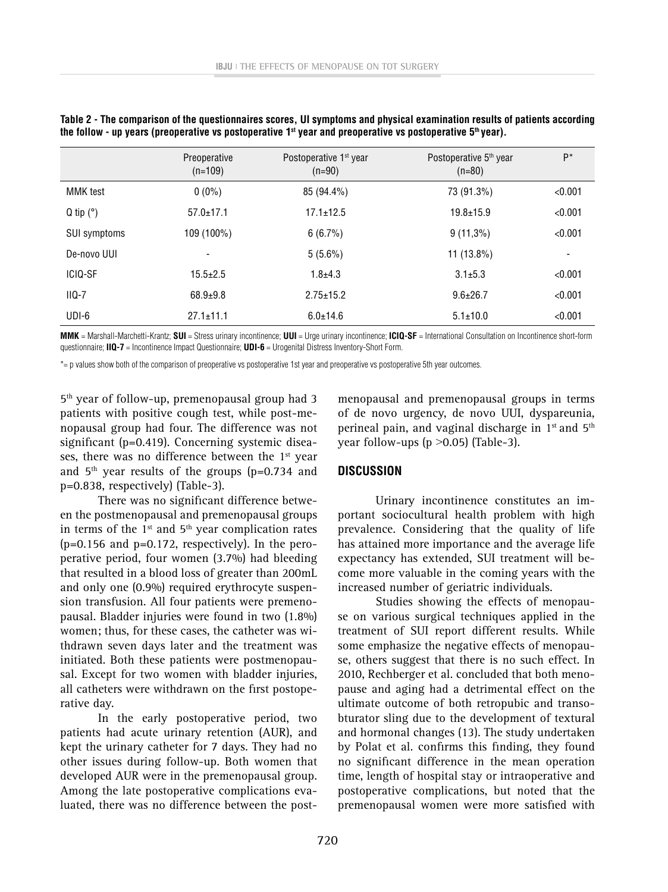|                     | Preoperative<br>$(n=109)$ | Postoperative 1 <sup>st</sup> year<br>$(n=90)$ | Postoperative 5 <sup>th</sup> year<br>$(n=80)$ | $P^*$   |
|---------------------|---------------------------|------------------------------------------------|------------------------------------------------|---------|
| <b>MMK</b> test     | $0(0\%)$                  | 85 (94.4%)                                     | 73 (91.3%)                                     | < 0.001 |
| $Q$ tip $(°)$       | $57.0 \pm 17.1$           | $17.1 \pm 12.5$                                | $19.8 \pm 15.9$                                | < 0.001 |
| <b>SUI symptoms</b> | 109 (100%)                | 6(6.7%)                                        | $9(11,3\%)$                                    | < 0.001 |
| De-novo UUI         | $\overline{\phantom{a}}$  | $5(5.6\%)$                                     | 11 (13.8%)                                     | -       |
| ICIO-SF             | $15.5 \pm 2.5$            | $1.8 + 4.3$                                    | $3.1 \pm 5.3$                                  | < 0.001 |
| $IIQ-7$             | $68.9 + 9.8$              | $2.75 \pm 15.2$                                | $9.6 \pm 26.7$                                 | < 0.001 |
| UDI-6               | $27.1 \pm 11.1$           | $6.0 \pm 14.6$                                 | $5.1 \pm 10.0$                                 | < 0.001 |

**Table 2 - The comparison of the questionnaires scores, UI symptoms and physical examination results of patients according**  the follow - up years (preoperative vs postoperative 1<sup>st</sup> year and preoperative vs postoperative 5<sup>th</sup> year).

**MMK** = Marshall-Marchetti-Krantz; **SUI** = Stress urinary incontinence; **UUI** = Urge urinary incontinence; **ICIQ-SF** = International Consultation on Incontinence short-form questionnaire; **IIQ-7** = Incontinence Impact Questionnaire; **UDI-6** = Urogenital Distress Inventory-Short Form.

\*= p values show both of the comparison of preoperative vs postoperative 1st year and preoperative vs postoperative 5th year outcomes.

5th year of follow-up, premenopausal group had 3 patients with positive cough test, while post-menopausal group had four. The difference was not significant (p=0.419). Concerning systemic diseases, there was no difference between the  $1<sup>st</sup>$  year and  $5<sup>th</sup>$  year results of the groups (p=0.734 and p=0.838, respectively) (Table-3).

There was no significant difference between the postmenopausal and premenopausal groups in terms of the  $1<sup>st</sup>$  and  $5<sup>th</sup>$  year complication rates  $(p=0.156$  and  $p=0.172$ , respectively). In the peroperative period, four women (3.7%) had bleeding that resulted in a blood loss of greater than 200mL and only one (0.9%) required erythrocyte suspension transfusion. All four patients were premenopausal. Bladder injuries were found in two (1.8%) women; thus, for these cases, the catheter was withdrawn seven days later and the treatment was initiated. Both these patients were postmenopausal. Except for two women with bladder injuries, all catheters were withdrawn on the first postoperative day.

In the early postoperative period, two patients had acute urinary retention (AUR), and kept the urinary catheter for 7 days. They had no other issues during follow-up. Both women that developed AUR were in the premenopausal group. Among the late postoperative complications evaluated, there was no difference between the post-

menopausal and premenopausal groups in terms of de novo urgency, de novo UUI, dyspareunia, perineal pain, and vaginal discharge in  $1<sup>st</sup>$  and  $5<sup>th</sup>$ year follow-ups ( $p > 0.05$ ) (Table-3).

#### **DISCUSSION**

Urinary incontinence constitutes an important sociocultural health problem with high prevalence. Considering that the quality of life has attained more importance and the average life expectancy has extended, SUI treatment will become more valuable in the coming years with the increased number of geriatric individuals.

Studies showing the effects of menopause on various surgical techniques applied in the treatment of SUI report different results. While some emphasize the negative effects of menopause, others suggest that there is no such effect. In 2010, Rechberger et al. concluded that both menopause and aging had a detrimental effect on the ultimate outcome of both retropubic and transobturator sling due to the development of textural and hormonal changes (13). The study undertaken by Polat et al. confirms this finding, they found no significant difference in the mean operation time, length of hospital stay or intraoperative and postoperative complications, but noted that the premenopausal women were more satisfied with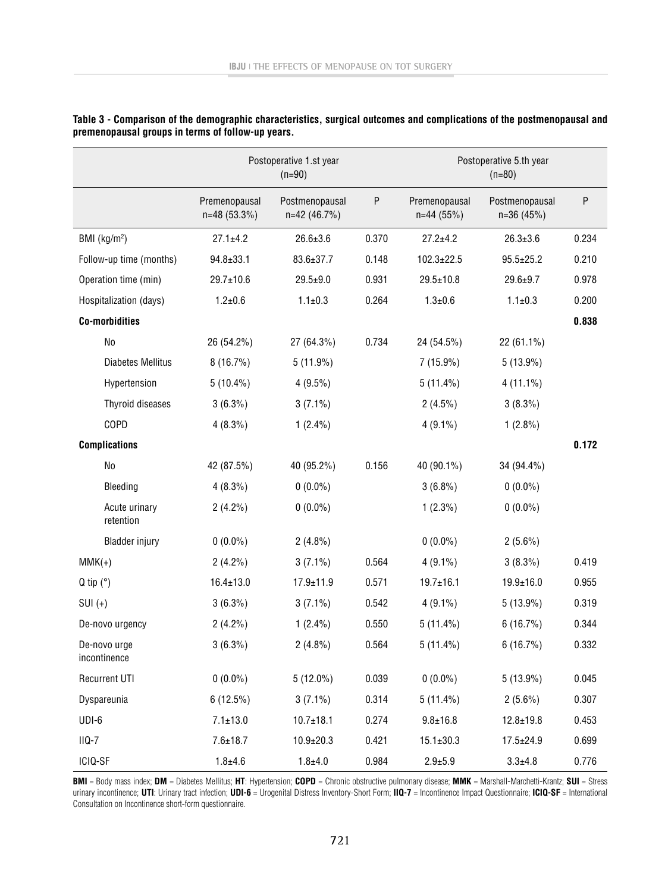|                              |                                 | Postoperative 1.st year<br>$(n=90)$ |       | Postoperative 5.th year<br>$(n=80)$ |                               |       |  |
|------------------------------|---------------------------------|-------------------------------------|-------|-------------------------------------|-------------------------------|-------|--|
|                              | Premenopausal<br>$n=48(53.3\%)$ | Postmenopausal<br>$n=42(46.7%)$     | P     | Premenopausal<br>$n=44(55%)$        | Postmenopausal<br>$n=36(45%)$ | P     |  |
| BMI (kg/m <sup>2</sup> )     | $27.1 \pm 4.2$                  | $26.6 \pm 3.6$                      | 0.370 | $27.2 + 4.2$                        | $26.3 \pm 3.6$                | 0.234 |  |
| Follow-up time (months)      | $94.8 \pm 33.1$                 | 83.6±37.7                           | 0.148 | $102.3 \pm 22.5$                    | $95.5 \pm 25.2$               | 0.210 |  |
| Operation time (min)         | $29.7 \pm 10.6$                 | $29.5 + 9.0$                        | 0.931 | $29.5 \pm 10.8$                     | $29.6 + 9.7$                  | 0.978 |  |
| Hospitalization (days)       | $1.2 + 0.6$                     | $1.1 \pm 0.3$                       | 0.264 | $1.3 + 0.6$                         | $1.1 \pm 0.3$                 | 0.200 |  |
| <b>Co-morbidities</b>        |                                 |                                     |       |                                     |                               | 0.838 |  |
| No                           | 26 (54.2%)                      | 27 (64.3%)                          | 0.734 | 24 (54.5%)                          | 22 (61.1%)                    |       |  |
| <b>Diabetes Mellitus</b>     | 8(16.7%)                        | $5(11.9\%)$                         |       | $7(15.9\%)$                         | $5(13.9\%)$                   |       |  |
| Hypertension                 | $5(10.4\%)$                     | $4(9.5\%)$                          |       | $5(11.4\%)$                         | $4(11.1\%)$                   |       |  |
| Thyroid diseases             | $3(6.3\%)$                      | $3(7.1\%)$                          |       | $2(4.5\%)$                          | $3(8.3\%)$                    |       |  |
| COPD                         | $4(8.3\%)$                      | $1(2.4\%)$                          |       | $4(9.1\%)$                          | $1(2.8\%)$                    |       |  |
| <b>Complications</b>         |                                 |                                     |       |                                     |                               | 0.172 |  |
| No                           | 42 (87.5%)                      | 40 (95.2%)                          | 0.156 | 40 (90.1%)                          | 34 (94.4%)                    |       |  |
| Bleeding                     | $4(8.3\%)$                      | $0(0.0\%)$                          |       | $3(6.8\%)$                          | $0(0.0\%)$                    |       |  |
| Acute urinary<br>retention   | $2(4.2\%)$                      | $0(0.0\%)$                          |       | $1(2.3\%)$                          | $0(0.0\%)$                    |       |  |
| <b>Bladder injury</b>        | $0(0.0\%)$                      | $2(4.8\%)$                          |       | $0(0.0\%)$                          | $2(5.6\%)$                    |       |  |
| $MMK(+)$                     | $2(4.2\%)$                      | $3(7.1\%)$                          | 0.564 | $4(9.1\%)$                          | $3(8.3\%)$                    | 0.419 |  |
| $Q$ tip $(°)$                | $16.4 \pm 13.0$                 | $17.9 \pm 11.9$                     | 0.571 | $19.7 \pm 16.1$                     | $19.9 \pm 16.0$               | 0.955 |  |
| $SUI(+)$                     | $3(6.3\%)$                      | $3(7.1\%)$                          | 0.542 | $4(9.1\%)$                          | $5(13.9\%)$                   | 0.319 |  |
| De-novo urgency              | $2(4.2\%)$                      | $1(2.4\%)$                          | 0.550 | $5(11.4\%)$                         | 6(16.7%)                      | 0.344 |  |
| De-novo urge<br>incontinence | $3(6.3\%)$                      | $2(4.8\%)$                          | 0.564 | $5(11.4\%)$                         | 6(16.7%)                      | 0.332 |  |
| <b>Recurrent UTI</b>         | $0(0.0\%)$                      | $5(12.0\%)$                         | 0.039 | $0(0.0\%)$                          | $5(13.9\%)$                   | 0.045 |  |
| Dyspareunia                  | 6(12.5%)                        | $3(7.1\%)$                          | 0.314 | $5(11.4\%)$                         | $2(5.6\%)$                    | 0.307 |  |
| UDI-6                        | $7.1 \pm 13.0$                  | $10.7 \pm 18.1$                     | 0.274 | $9.8 + 16.8$                        | $12.8 + 19.8$                 | 0.453 |  |
| $IIQ-7$                      | $7.6 \pm 18.7$                  | $10.9 \pm 20.3$                     | 0.421 | $15.1 \pm 30.3$                     | $17.5 \pm 24.9$               | 0.699 |  |
| ICIQ-SF                      | $1.8 + 4.6$                     | $1.8 + 4.0$                         | 0.984 | $2.9 + 5.9$                         | $3.3 + 4.8$                   | 0.776 |  |

| Table 3 - Comparison of the demographic characteristics, surgical outcomes and complications of the postmenopausal and |  |
|------------------------------------------------------------------------------------------------------------------------|--|
| premenopausal groups in terms of follow-up years.                                                                      |  |

**BMI** = Body mass index; **DM** = Diabetes Mellitus; **HT**: Hypertension; **COPD** = Chronic obstructive pulmonary disease; **MMK** = Marshall-Marchetti-Krantz; **SUI** = Stress urinary incontinence; **UTI**: Urinary tract infection; **UDI-6** = Urogenital Distress Inventory-Short Form; **IIQ-7** = Incontinence Impact Questionnaire; **ICIQ-SF** = International Consultation on Incontinence short-form questionnaire.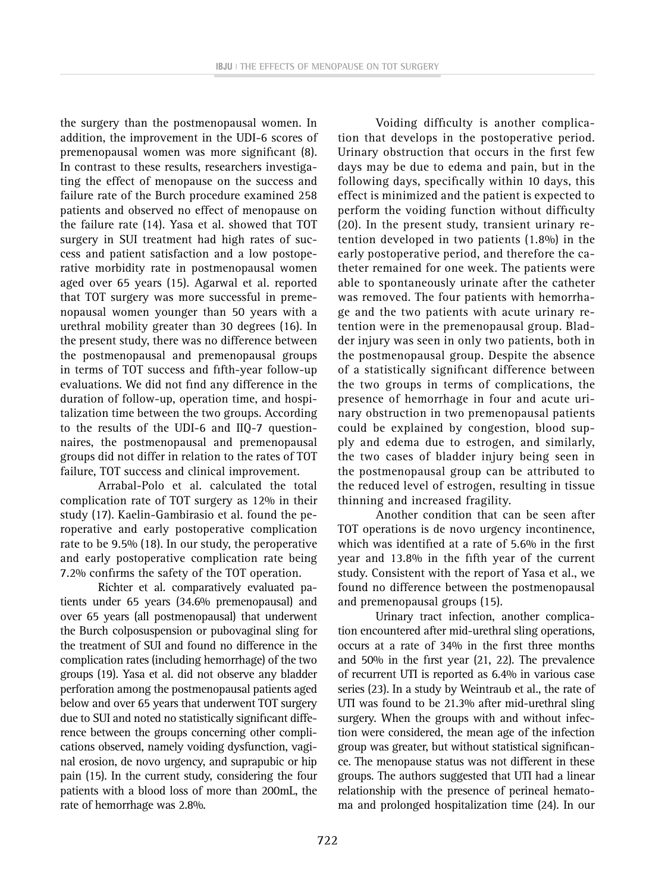the surgery than the postmenopausal women. In addition, the improvement in the UDI-6 scores of premenopausal women was more significant (8). In contrast to these results, researchers investigating the effect of menopause on the success and failure rate of the Burch procedure examined 258 patients and observed no effect of menopause on the failure rate (14). Yasa et al. showed that TOT surgery in SUI treatment had high rates of success and patient satisfaction and a low postoperative morbidity rate in postmenopausal women aged over 65 years (15). Agarwal et al. reported that TOT surgery was more successful in premenopausal women younger than 50 years with a urethral mobility greater than 30 degrees (16). In the present study, there was no difference between the postmenopausal and premenopausal groups in terms of TOT success and fifth-year follow-up evaluations. We did not find any difference in the duration of follow-up, operation time, and hospitalization time between the two groups. According to the results of the UDI-6 and IIQ-7 questionnaires, the postmenopausal and premenopausal groups did not differ in relation to the rates of TOT failure, TOT success and clinical improvement.

Arrabal-Polo et al. calculated the total complication rate of TOT surgery as 12% in their study (17). Kaelin-Gambirasio et al. found the peroperative and early postoperative complication rate to be 9.5% (18). In our study, the peroperative and early postoperative complication rate being 7.2% confirms the safety of the TOT operation.

Richter et al. comparatively evaluated patients under 65 years (34.6% premenopausal) and over 65 years (all postmenopausal) that underwent the Burch colposuspension or pubovaginal sling for the treatment of SUI and found no difference in the complication rates (including hemorrhage) of the two groups (19). Yasa et al. did not observe any bladder perforation among the postmenopausal patients aged below and over 65 years that underwent TOT surgery due to SUI and noted no statistically significant difference between the groups concerning other complications observed, namely voiding dysfunction, vaginal erosion, de novo urgency, and suprapubic or hip pain (15). In the current study, considering the four patients with a blood loss of more than 200mL, the rate of hemorrhage was 2.8%.

Voiding difficulty is another complication that develops in the postoperative period. Urinary obstruction that occurs in the first few days may be due to edema and pain, but in the following days, specifically within 10 days, this effect is minimized and the patient is expected to perform the voiding function without difficulty (20). In the present study, transient urinary retention developed in two patients (1.8%) in the early postoperative period, and therefore the catheter remained for one week. The patients were able to spontaneously urinate after the catheter was removed. The four patients with hemorrhage and the two patients with acute urinary retention were in the premenopausal group. Bladder injury was seen in only two patients, both in the postmenopausal group. Despite the absence of a statistically significant difference between the two groups in terms of complications, the presence of hemorrhage in four and acute urinary obstruction in two premenopausal patients could be explained by congestion, blood supply and edema due to estrogen, and similarly, the two cases of bladder injury being seen in the postmenopausal group can be attributed to the reduced level of estrogen, resulting in tissue thinning and increased fragility.

Another condition that can be seen after TOT operations is de novo urgency incontinence, which was identified at a rate of 5.6% in the first year and 13.8% in the fifth year of the current study. Consistent with the report of Yasa et al., we found no difference between the postmenopausal and premenopausal groups (15).

Urinary tract infection, another complication encountered after mid-urethral sling operations, occurs at a rate of 34% in the first three months and 50% in the first year (21, 22). The prevalence of recurrent UTI is reported as 6.4% in various case series (23). In a study by Weintraub et al., the rate of UTI was found to be 21.3% after mid-urethral sling surgery. When the groups with and without infection were considered, the mean age of the infection group was greater, but without statistical significance. The menopause status was not different in these groups. The authors suggested that UTI had a linear relationship with the presence of perineal hematoma and prolonged hospitalization time (24). In our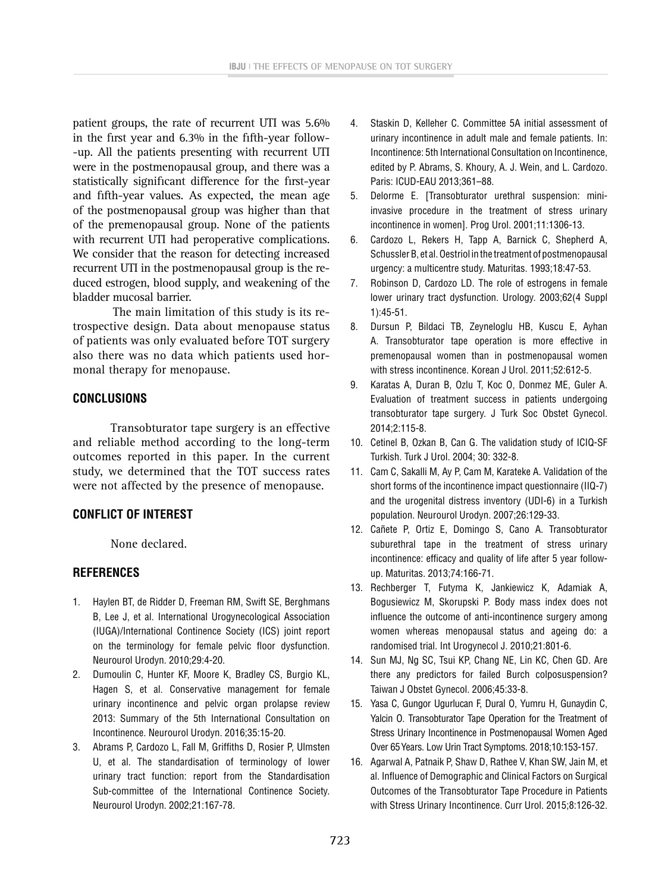patient groups, the rate of recurrent UTI was 5.6% in the first year and 6.3% in the fifth-year follow- -up. All the patients presenting with recurrent UTI were in the postmenopausal group, and there was a statistically significant difference for the first-year and fifth-year values. As expected, the mean age of the postmenopausal group was higher than that of the premenopausal group. None of the patients with recurrent UTI had peroperative complications. We consider that the reason for detecting increased recurrent UTI in the postmenopausal group is the reduced estrogen, blood supply, and weakening of the bladder mucosal barrier.

The main limitation of this study is its retrospective design. Data about menopause status of patients was only evaluated before TOT surgery also there was no data which patients used hormonal therapy for menopause.

### **CONCLUSIONS**

Transobturator tape surgery is an effective and reliable method according to the long-term outcomes reported in this paper. In the current study, we determined that the TOT success rates were not affected by the presence of menopause.

# **CONFLICT OF INTEREST**

None declared.

# **REFERENCES**

- 1. Haylen BT, de Ridder D, Freeman RM, Swift SE, Berghmans B, Lee J, et al. International Urogynecological Association (IUGA)/International Continence Society (ICS) joint report on the terminology for female pelvic floor dysfunction. Neurourol Urodyn. 2010;29:4-20.
- 2. Dumoulin C, Hunter KF, Moore K, Bradley CS, Burgio KL, Hagen S, et al. Conservative management for female urinary incontinence and pelvic organ prolapse review 2013: Summary of the 5th International Consultation on Incontinence. Neurourol Urodyn. 2016;35:15-20.
- 3. Abrams P, Cardozo L, Fall M, Griffiths D, Rosier P, Ulmsten U, et al. The standardisation of terminology of lower urinary tract function: report from the Standardisation Sub-committee of the International Continence Society. Neurourol Urodyn. 2002;21:167-78.
- 4. Staskin D, Kelleher C. Committee 5A initial assessment of urinary incontinence in adult male and female patients. In: Incontinence: 5th International Consultation on Incontinence, edited by P. Abrams, S. Khoury, A. J. Wein, and L. Cardozo. Paris: ICUD-EAU 2013;361–88.
- 5. Delorme E. [Transobturator urethral suspension: miniinvasive procedure in the treatment of stress urinary incontinence in women]. Prog Urol. 2001;11:1306-13.
- 6. Cardozo L, Rekers H, Tapp A, Barnick C, Shepherd A, Schussler B, et al. Oestriol in the treatment of postmenopausal urgency: a multicentre study. Maturitas. 1993;18:47-53.
- 7. Robinson D, Cardozo LD. The role of estrogens in female lower urinary tract dysfunction. Urology. 2003;62(4 Suppl 1):45-51.
- 8. Dursun P, Bildaci TB, Zeyneloglu HB, Kuscu E, Ayhan A. Transobturator tape operation is more effective in premenopausal women than in postmenopausal women with stress incontinence. Korean J Urol. 2011;52:612-5.
- 9. Karatas A, Duran B, Ozlu T, Koc O, Donmez ME, Guler A. Evaluation of treatment success in patients undergoing transobturator tape surgery. J Turk Soc Obstet Gynecol. 2014;2:115-8.
- 10. Cetinel B, Ozkan B, Can G. The validation study of ICIQ-SF Turkish. Turk J Urol. 2004; 30: 332-8.
- 11. Cam C, Sakalli M, Ay P, Cam M, Karateke A. Validation of the short forms of the incontinence impact questionnaire (IIQ-7) and the urogenital distress inventory (UDI-6) in a Turkish population. Neurourol Urodyn. 2007;26:129-33.
- 12. Cañete P, Ortiz E, Domingo S, Cano A. Transobturator suburethral tape in the treatment of stress urinary incontinence: efficacy and quality of life after 5 year followup. Maturitas. 2013;74:166-71.
- 13. Rechberger T, Futyma K, Jankiewicz K, Adamiak A, Bogusiewicz M, Skorupski P. Body mass index does not influence the outcome of anti-incontinence surgery among women whereas menopausal status and ageing do: a randomised trial. Int Urogynecol J. 2010;21:801-6.
- 14. Sun MJ, Ng SC, Tsui KP, Chang NE, Lin KC, Chen GD. Are there any predictors for failed Burch colposuspension? Taiwan J Obstet Gynecol. 2006;45:33-8.
- 15. Yasa C, Gungor Ugurlucan F, Dural O, Yumru H, Gunaydin C, Yalcin O. Transobturator Tape Operation for the Treatment of Stress Urinary Incontinence in Postmenopausal Women Aged Over 65Years. Low Urin Tract Symptoms. 2018;10:153-157.
- 16. Agarwal A, Patnaik P, Shaw D, Rathee V, Khan SW, Jain M, et al. Influence of Demographic and Clinical Factors on Surgical Outcomes of the Transobturator Tape Procedure in Patients with Stress Urinary Incontinence. Curr Urol. 2015;8:126-32.